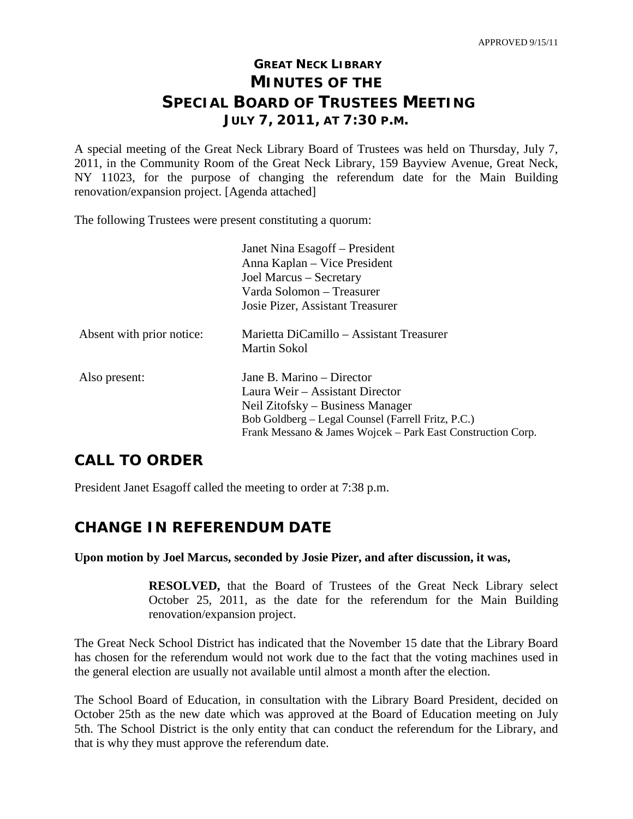# **GREAT NECK LIBRARY MINUTES OF THE SPECIAL BOARD OF TRUSTEES MEETING JULY 7, 2011, AT 7:30 P.M.**

A special meeting of the Great Neck Library Board of Trustees was held on Thursday, July 7, 2011, in the Community Room of the Great Neck Library, 159 Bayview Avenue, Great Neck, NY 11023, for the purpose of changing the referendum date for the Main Building renovation/expansion project. [Agenda attached]

The following Trustees were present constituting a quorum:

|                           | Janet Nina Esagoff – President                              |
|---------------------------|-------------------------------------------------------------|
|                           | Anna Kaplan – Vice President                                |
|                           | Joel Marcus – Secretary                                     |
|                           | Varda Solomon – Treasurer                                   |
|                           | Josie Pizer, Assistant Treasurer                            |
| Absent with prior notice: | Marietta DiCamillo – Assistant Treasurer                    |
|                           | Martin Sokol                                                |
| Also present:             | Jane B. Marino – Director                                   |
|                           | Laura Weir – Assistant Director                             |
|                           | Neil Zitofsky – Business Manager                            |
|                           | Bob Goldberg – Legal Counsel (Farrell Fritz, P.C.)          |
|                           | Frank Messano & James Wojcek – Park East Construction Corp. |

## **CALL TO ORDER**

President Janet Esagoff called the meeting to order at 7:38 p.m.

# **CHANGE IN REFERENDUM DATE**

#### **Upon motion by Joel Marcus, seconded by Josie Pizer, and after discussion, it was,**

**RESOLVED,** that the Board of Trustees of the Great Neck Library select October 25, 2011, as the date for the referendum for the Main Building renovation/expansion project.

The Great Neck School District has indicated that the November 15 date that the Library Board has chosen for the referendum would not work due to the fact that the voting machines used in the general election are usually not available until almost a month after the election.

The School Board of Education, in consultation with the Library Board President, decided on October 25th as the new date which was approved at the Board of Education meeting on July 5th. The School District is the only entity that can conduct the referendum for the Library, and that is why they must approve the referendum date.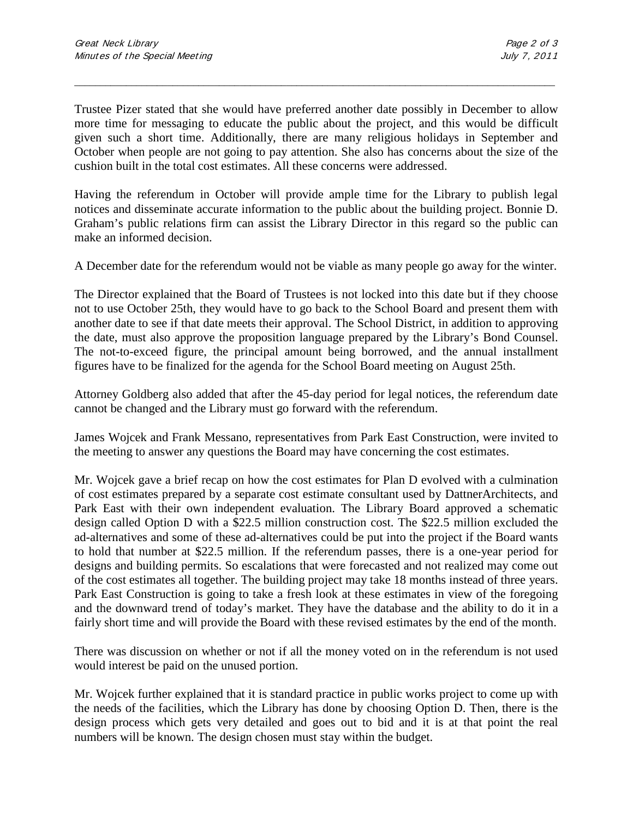Trustee Pizer stated that she would have preferred another date possibly in December to allow more time for messaging to educate the public about the project, and this would be difficult given such a short time. Additionally, there are many religious holidays in September and October when people are not going to pay attention. She also has concerns about the size of the cushion built in the total cost estimates. All these concerns were addressed.

\_\_\_\_\_\_\_\_\_\_\_\_\_\_\_\_\_\_\_\_\_\_\_\_\_\_\_\_\_\_\_\_\_\_\_\_\_\_\_\_\_\_\_\_\_\_\_\_\_\_\_\_\_\_\_\_\_\_\_\_\_\_\_\_\_\_\_\_\_\_\_\_\_\_\_\_\_\_\_\_\_\_\_\_\_\_\_\_\_\_\_\_\_

Having the referendum in October will provide ample time for the Library to publish legal notices and disseminate accurate information to the public about the building project. Bonnie D. Graham's public relations firm can assist the Library Director in this regard so the public can make an informed decision.

A December date for the referendum would not be viable as many people go away for the winter.

The Director explained that the Board of Trustees is not locked into this date but if they choose not to use October 25th, they would have to go back to the School Board and present them with another date to see if that date meets their approval. The School District, in addition to approving the date, must also approve the proposition language prepared by the Library's Bond Counsel. The not-to-exceed figure, the principal amount being borrowed, and the annual installment figures have to be finalized for the agenda for the School Board meeting on August 25th.

Attorney Goldberg also added that after the 45-day period for legal notices, the referendum date cannot be changed and the Library must go forward with the referendum.

James Wojcek and Frank Messano, representatives from Park East Construction, were invited to the meeting to answer any questions the Board may have concerning the cost estimates.

Mr. Wojcek gave a brief recap on how the cost estimates for Plan D evolved with a culmination of cost estimates prepared by a separate cost estimate consultant used by DattnerArchitects, and Park East with their own independent evaluation. The Library Board approved a schematic design called Option D with a \$22.5 million construction cost. The \$22.5 million excluded the ad-alternatives and some of these ad-alternatives could be put into the project if the Board wants to hold that number at \$22.5 million. If the referendum passes, there is a one-year period for designs and building permits. So escalations that were forecasted and not realized may come out of the cost estimates all together. The building project may take 18 months instead of three years. Park East Construction is going to take a fresh look at these estimates in view of the foregoing and the downward trend of today's market. They have the database and the ability to do it in a fairly short time and will provide the Board with these revised estimates by the end of the month.

There was discussion on whether or not if all the money voted on in the referendum is not used would interest be paid on the unused portion.

Mr. Wojcek further explained that it is standard practice in public works project to come up with the needs of the facilities, which the Library has done by choosing Option D. Then, there is the design process which gets very detailed and goes out to bid and it is at that point the real numbers will be known. The design chosen must stay within the budget.